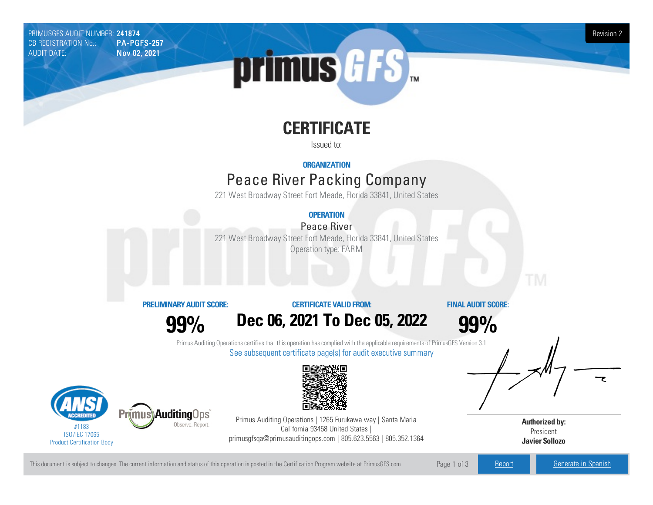PRIMUSGFS AUDIT NUMBER: 241874 Revision 2 CB REGISTRATION No.: AUDIT DATE: Nov 02, 2021



# **CERTIFICATE**

Issued to:

**ORGANIZATION**

## Peace River Packing Company

221 West Broadway Street Fort Meade, Florida 33841, United States

### **OPERATION**

Peace River

221 West Broadway Street Fort Meade, Florida 33841, United States Operation type: FARM

### **PRELIMINARYAUDIT SCORE:**

**CERTIFICATE VALIDFROM:**

**FINAL AUDIT SCORE:**

**99%**



**99%**

Primus Auditing Operations certifies that this operation has complied with the applicable requirements of PrimusGFS Version 3.1 See subsequent certificate page(s) for audit executive summary



Product Certification Body



Primus Auditing Operations | 1265 Furukawa way | Santa Maria California 93458 United States | primusgfsqa@primusauditingops.com | 805.623.5563 | 805.352.1364

**Authorized by:** President **Javier Sollozo**

This document is subject to changes. The current information and status of this operation is posted in the Certification Program website at PrimusGFS.com Page 1 of 3 [Report](https://secure.azzule.com/PGFSDocuments/PGFS_AuditReport241874_1_EN.pdf) [Generate](https://secure.azzule.com/PrimusGFSAudits/pdfGenerator.aspx?AuditHeaderID=32168891589413877761331342201862476452276&AppId=87561087544&LanguageID=1&UserId=1) in Spanish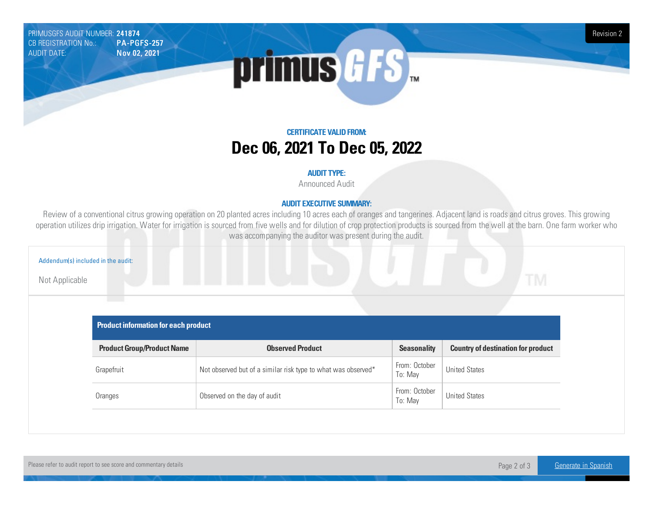PRIMUSGFS AUDIT NUMBER: 241874 Revision 2 CB REGISTRATION No.: AUDIT DATE: Nov 02, 2021



### **CERTIFICATE VALIDFROM: Dec 06, 2021 To Dec 05, 2022**

#### **AUDIT TYPE:**

Announced Audit

#### **AUDIT EXECUTIVE SUMMARY:**

Review of a conventional citrus growing operation on 20 planted acres including 10 acres each of oranges and tangerines. Adjacent land is roads and citrus groves. This growing operation utilizes drip irrigation. Water for irrigation is sourced from five wells and for dilution of crop protection products is sourced from the well at the barn. One farm worker who was accompanying the auditor was present during the audit.

| Addendum(s) included in the audit: |                                             |                                                               |                          |                                           |  |  |
|------------------------------------|---------------------------------------------|---------------------------------------------------------------|--------------------------|-------------------------------------------|--|--|
| Not Applicable                     |                                             | <b>Contract Contract</b>                                      |                          | <b>TM</b>                                 |  |  |
|                                    |                                             |                                                               |                          |                                           |  |  |
|                                    | <b>Product information for each product</b> |                                                               |                          |                                           |  |  |
|                                    | <b>Product Group/Product Name</b>           | <b>Observed Product</b>                                       | <b>Seasonality</b>       | <b>Country of destination for product</b> |  |  |
|                                    | Grapefruit                                  | Not observed but of a similar risk type to what was observed* | From: October<br>To: May | <b>United States</b>                      |  |  |
|                                    | Oranges                                     | Observed on the day of audit                                  | From: October<br>To: May | <b>United States</b>                      |  |  |